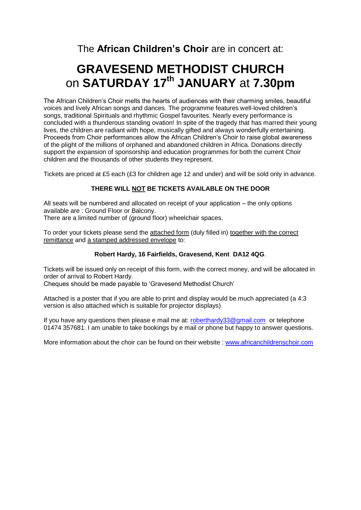The **African Children's Choir** are in concert at:

## **GRAVESEND METHODIST CHURCH** on **SATURDAY 17 th JANUARY** at **7.30pm**

The African Children's Choir melts the hearts of audiences with their charming smiles, beautiful voices and lively African songs and dances. The programme features well-loved children's songs, traditional Spirituals and rhythmic Gospel favourites. Nearly every performance is concluded with a thunderous standing ovation! In spite of the tragedy that has marred their young lives, the children are radiant with hope, musically gifted and always wonderfully entertaining. Proceeds from Choir performances allow the African Children's Choir to raise global awareness of the plight of the millions of orphaned and abandoned children in Africa. Donations directly support the expansion of sponsorship and education programmes for both the current Choir children and the thousands of other students they represent.

Tickets are priced at £5 each (£3 for children age 12 and under) and will be sold only in advance.

#### **THERE WILL NOT BE TICKETS AVAILABLE ON THE DOOR**

All seats will be numbered and allocated on receipt of your application – the only options available are : Ground Floor or Balcony.

There are a limited number of (ground floor) wheelchair spaces.

To order your tickets please send the attached form (duly filled in) together with the correct remittance and a stamped addressed envelope to:

#### **Robert Hardy, 16 Fairfields, Gravesend, Kent DA12 4QG**.

Tickets will be issued only on receipt of this form, with the correct money, and will be allocated in order of arrival to Robert Hardy.

Cheques should be made payable to 'Gravesend Methodist Church'

Attached is a poster that if you are able to print and display would be much appreciated (a 4:3 version is also attached which is suitable for projector displays)

If you have any questions then please e mail me at: [roberthardy33@gmail.com](mailto:roberthardy33@gmail.com) or telephone 01474 357681. I am unable to take bookings by e mail or phone but happy to answer questions.

More information about the choir can be found on their website : [www.africanchildrenschoir.com](http://www.africanchildrenschoir.com/)